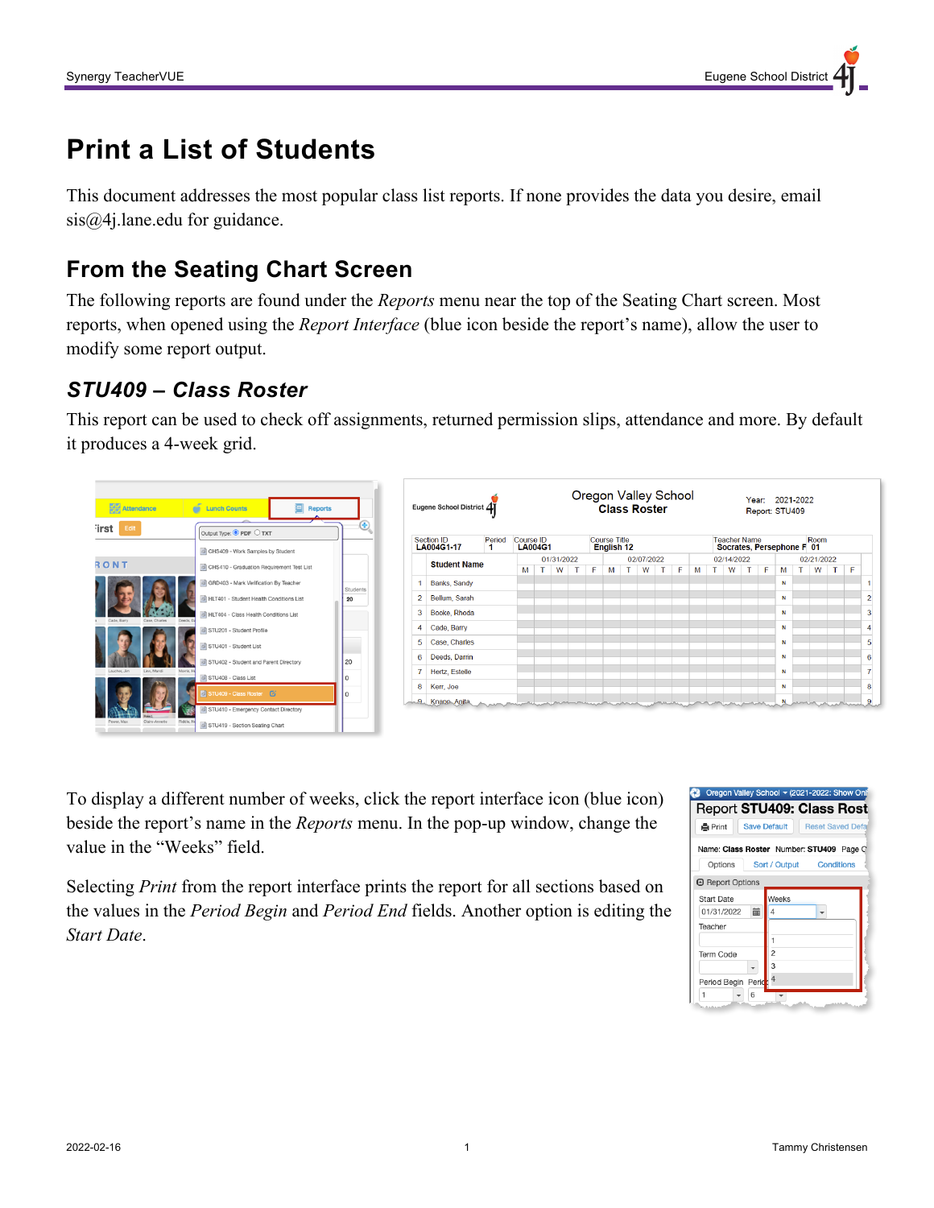# **Print a List of Students**

This document addresses the most popular class list reports. If none provides the data you desire, email sis@4j.lane.edu for guidance.

## **From the Seating Chart Screen**

The following reports are found under the *Reports* menu near the top of the Seating Chart screen. Most reports, when opened using the *Report Interface* (blue icon beside the report's name), allow the user to modify some report output.

#### *STU409 – Class Roster*

This report can be used to check off assignments, returned permission slips, attendance and more. By default it produces a 4-week grid.



To display a different number of weeks, click the report interface icon (blue icon) beside the report's name in the *Reports* menu. In the pop-up window, change the value in the "Weeks" field.

Selecting *Print* from the report interface prints the report for all sections based on the values in the *Period Begin* and *Period End* fields. Another option is editing the *Start Date*.

| Oregon Valley School v (2021-2022: Show Onl |                     |                          |
|---------------------------------------------|---------------------|--------------------------|
| Report STU409: Class Rost                   |                     |                          |
| <b>A</b> Print                              | <b>Save Default</b> | <b>Reset Saved Defat</b> |
| Name: Class Roster Number: STU409 Page C    |                     |                          |
| Options                                     | Sort / Output       | <b>Conditions</b>        |
| <b>A</b> Report Options                     |                     |                          |
| Start Date                                  | Weeks               |                          |
| 01/31/2022<br>萹                             | 4                   |                          |
| Teacher                                     |                     |                          |
|                                             | 1                   |                          |
| Term Code                                   | 2                   |                          |
|                                             | 3                   |                          |
| Period Begin Perid:                         | 4                   |                          |
| 1<br>6                                      |                     |                          |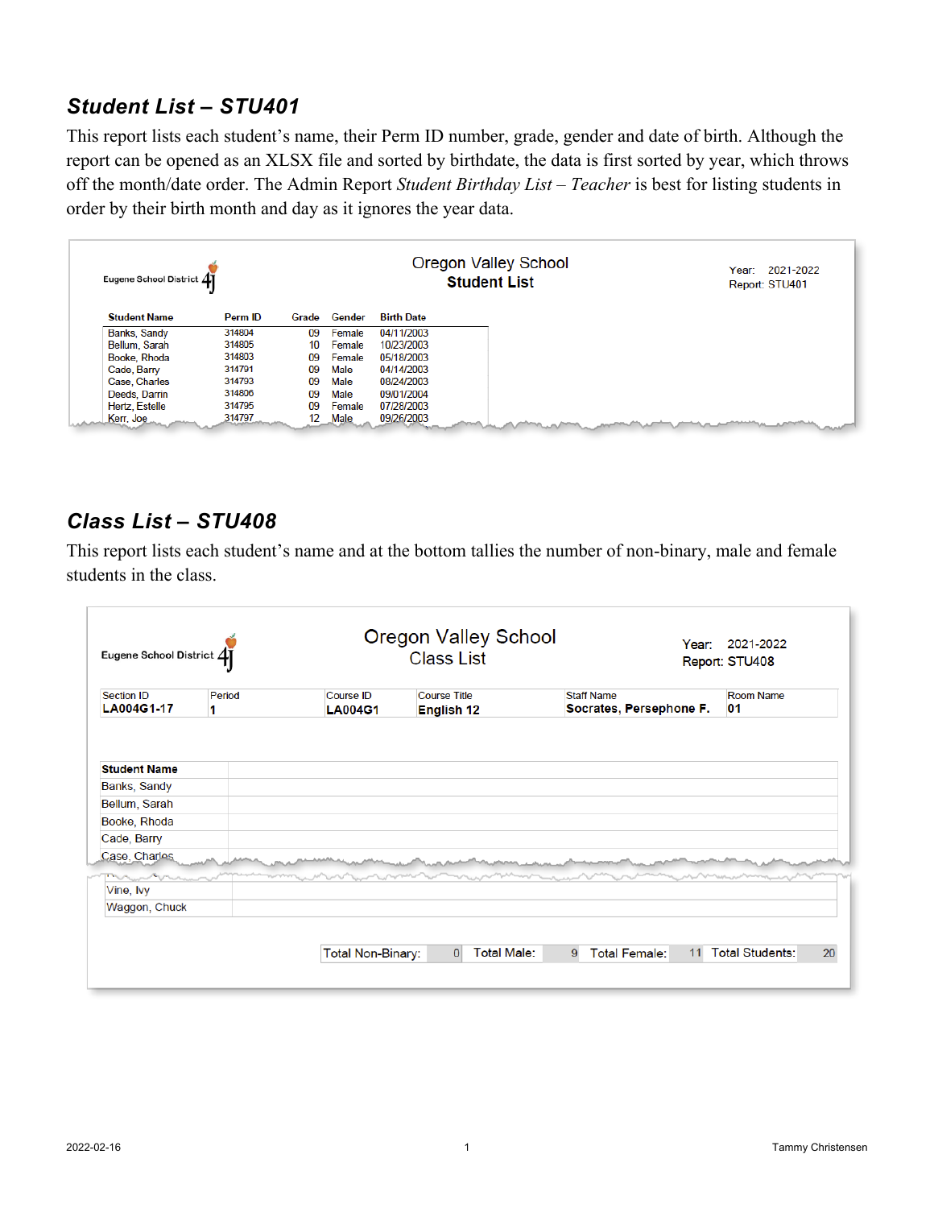#### *Student List – STU401*

This report lists each student's name, their Perm ID number, grade, gender and date of birth. Although the report can be opened as an XLSX file and sorted by birthdate, the data is first sorted by year, which throws off the month/date order. The Admin Report *Student Birthday List – Teacher* is best for listing students in order by their birth month and day as it ignores the year data.

| Eugene School District 41 |         |       |        |                   | Oregon Valley School<br><b>Student List</b> | 2021-2022<br>Year:<br>Report: STU401 |
|---------------------------|---------|-------|--------|-------------------|---------------------------------------------|--------------------------------------|
| <b>Student Name</b>       | Perm ID | Grade | Gender | <b>Birth Date</b> |                                             |                                      |
| Banks, Sandy              | 314804  | 09    | Female | 04/11/2003        |                                             |                                      |
| Bellum, Sarah             | 314805  | 10    | Female | 10/23/2003        |                                             |                                      |
| Booke, Rhoda              | 314803  | 09    | Female | 05/18/2003        |                                             |                                      |
| Cade, Barry               | 314791  | 09    | Male   | 04/14/2003        |                                             |                                      |
| Case, Charles             | 314793  | 09    | Male   | 08/24/2003        |                                             |                                      |
| Deeds, Darrin             | 314806  | 09    | Male   | 09/01/2004        |                                             |                                      |
| <b>Hertz, Estelle</b>     | 314795  | 09    | Female | 07/28/2003        |                                             |                                      |
| Kerr, Joe                 | 314797  | 12    | Male   | 09/26/2003        |                                             |                                      |

#### *Class List – STU408*

This report lists each student's name and at the bottom tallies the number of non-binary, male and female students in the class.

| <b>Section ID</b><br>Period<br>LA004G1-17<br>1 | Course ID<br><b>LA004G1</b> | <b>Course Title</b><br>English 12 | <b>Staff Name</b><br>Socrates, Persephone F. | <b>Room Name</b><br>01 |
|------------------------------------------------|-----------------------------|-----------------------------------|----------------------------------------------|------------------------|
| <b>Student Name</b>                            |                             |                                   |                                              |                        |
| Banks, Sandy                                   |                             |                                   |                                              |                        |
|                                                |                             |                                   |                                              |                        |
| Bellum, Sarah                                  |                             |                                   |                                              |                        |
| Booke, Rhoda                                   |                             |                                   |                                              |                        |
| Cade, Barry                                    |                             |                                   |                                              |                        |
| Case, Charles                                  |                             |                                   |                                              |                        |
| Vine, Ivy                                      |                             |                                   |                                              |                        |
| Waggon, Chuck                                  |                             |                                   |                                              |                        |